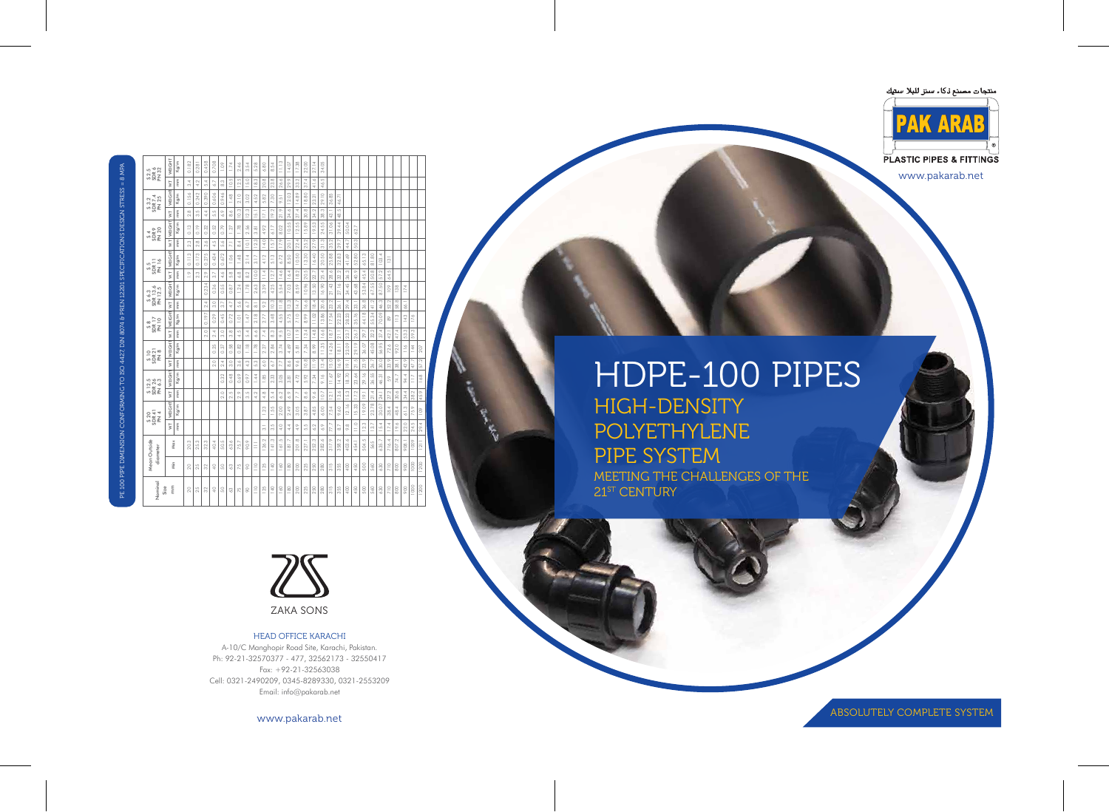www.pakarab.net

ABSOLUTELY COMPLETE SYSTEM



#### HEAD OFFICE KARACHI

A-10/C Manghopir Road Site, Karachi, Pakistan. Ph: 92-21-32570377 - 477, 32562173 - 32550417 Fax: +92-21-32563038 Cell: 0321-2490209, 0345-8289330, 0321-2553209 Email: info@pakarab.net

www.pakarab.net

# HDPE-100 PIPES HIGH-DENSITY POLYETHYLENE PIPE SYSTEM MEETING THE CHALLENGES OF THE 21<sup>ST</sup> CENTURY







| Mean Outside   |                                         | S 20<br>SDR 41<br>PN 4                      |                                | S 12.5<br>SDR 26<br>PN 6.3      |                              | $\frac{510}{20821}$      |                      | $rac{58}{20R}$ 17      |                          | S 6.3<br>SDR 13.6<br>PN 12.5 |                                          | $\frac{55}{20R}$ 11<br>PN 16                       |                            | <b>SA</b><br>SDR 9<br>N 20     |                                    | $\frac{53.2}{50007.4}$               |                            | S 2.5<br>SDR 6<br>PN 32 |
|----------------|-----------------------------------------|---------------------------------------------|--------------------------------|---------------------------------|------------------------------|--------------------------|----------------------|------------------------|--------------------------|------------------------------|------------------------------------------|----------------------------------------------------|----------------------------|--------------------------------|------------------------------------|--------------------------------------|----------------------------|-------------------------|
|                |                                         |                                             |                                |                                 |                              |                          |                      | <b>PN 10</b>           |                          |                              |                                          |                                                    |                            |                                |                                    |                                      |                            |                         |
|                | İŃ                                      | WEIGHT                                      | V.T                            | WEIGHT                          | V.T                          | <b>WEIGHT</b>            | İM                   | <b>WEIGHT</b>          | İM                       | <b>WEIGHT</b>                | İM                                       | WEIGHT                                             | ΣÎ                         | WEIGHT                         | İM                                 | WEIGHT                               | İM                         | WEIGHT                  |
|                | $\overline{\rm{m}}$<br>Max              | Kg/m                                        | mm                             | Kg/m                            | $\widetilde{\mathbf{E}}$     | $\mathrm{Kg}/\mathrm{m}$ | mm                   | Kg/m                   | mm                       | Kg/m                         | $\overline{\rm{m}}$                      | Kg/m                                               | $\overline{\rm{m}}$        | Kg/m                           | mm                                 | Kg/m                                 | mm                         | Kg/m                    |
| 20.            | $^{(2)}$                                |                                             |                                |                                 |                              |                          |                      |                        |                          |                              | $\frac{9}{1}$                            | 0.113                                              | m<br>$\sim$                | 0.13                           | $\infty$<br>$\sim$                 | 0.156                                | 4<br>$\infty$              | 0.182                   |
| 25.3           |                                         |                                             |                                |                                 |                              |                          |                      |                        |                          |                              | m<br>$\sim$                              | 0.173                                              | œ<br>$\sim$                | 0.19                           | LO <sub>1</sub><br>6               | 0.242                                | 4.2                        | 0.281                   |
| 32.            | S                                       |                                             |                                |                                 |                              |                          | $\circ$<br>$\sim$    | 0.197                  | 4<br>$\sim$              | 234<br>Õ                     | $\circ$<br>$\sim$                        | .275<br>$\vec{o}$                                  | Ó<br>6                     | 32<br>Õ                        | 4.4                                | 0.390                                | 4<br>LO.                   | 0.458                   |
| 40.4           |                                         |                                             |                                |                                 | $\circ$<br>$\sim$            | 25<br>ö                  | A.<br>$\sim$         | 29<br>$\circ$          | $\circ$<br>$\sim$        | 0.36                         | $\sim$<br>6                              | 0.434                                              | LŊ.<br>₹                   | 52<br>Õ                        | 5.5                                | 0.606                                | $\sim$<br>Ö.               | 0.708                   |
| 50.            | LO.                                     |                                             | $\circ$<br>$\overline{\alpha}$ | 0.32                            | A.<br>$\sim$                 | 0.37                     | $\circ$<br>$\infty$  | 45<br>ö                | $\sim$<br>ത്             | 55<br>Õ                      | Ò.<br>₹                                  | 672<br>Õ                                           | $\circ$<br>ιή              | 0.79                           | 6.9                                | 0.946                                | m<br>$\infty$              | 1.09                    |
| 63             | Ó                                       |                                             | LO.<br>$\sim$                  | 0.48                            | $\circ$<br>6                 | 0.58                     | $\infty$<br>$\infty$ | 0.72                   | 4.7                      | 67<br>Õ                      | œ<br>ιó                                  | 1.06                                               | $\overline{z}$             | $\overline{27}$                | $\circ$<br>$\infty$                | 1.48                                 | LŊ.<br>$\supseteq$         | 1.74                    |
| 75.            |                                         |                                             | $\circ$<br>$\sim$              | 69.<br>$\circ$                  | Ó<br>m                       | 0.82                     | LO.<br>₹             | $\overline{a}$         | $\circ$<br>ιó            | 1.24                         | $\infty$<br>◡                            | 1.48                                               | 4<br>co                    | 1.78                           | 10.3                               | 2.10                                 | S<br>$\overline{2}$        | 2.46                    |
| 90.            | $\circ$                                 |                                             | LO.<br>$^{(2)}$                | 5<br>$\circ$                    | m<br>÷                       | $\frac{8}{1}$            | 4<br>ιó              | 1.47                   | $\sim$<br><ó             | 1.78                         | $\sim$<br>$\infty$                       | 2.14                                               | $\frac{1}{2}$              | 56<br>$\sim$                   | 12.3                               | $\odot$<br>က                         | $\circ$<br>LO <sub>.</sub> | 54<br>ന്                |
| Ξ              |                                         |                                             | $\scriptstyle\sim$<br>₹        | $\frac{44}{5}$                  | m<br>ιó                      | 1.78                     | $\circ$<br>∽         | 2.18                   | $\infty$                 | 3<br>$\sim$                  | 10.0                                     | 3.17                                               | m<br>12.                   | $\infty$<br>ഩ                  | $\overline{15}$                    | 4.52                                 | S<br>$\approx$             | 5.28                    |
| 126.           | $\infty$<br>$\sim$                      | 23                                          | $\infty$<br>₹                  | $\overset{1}{\infty}$           | $\circ$<br>Ö.                | 2.27                     | ₹<br>K,              | 2.77                   | $\sim$<br>$\infty$       | 8<br>ന്                      | $\frac{4}{11}$                           | 4.12                                               | 14.0                       | $\gamma$<br>$\overline{+}$     | 17.1                               | 5.82                                 | $\infty$<br>20.            | 6.80                    |
| $\frac{14}{1}$ | 40<br>ന്<br>m                           | 1.55                                        | 4<br>$\overline{5}$            | $\mathcal{C}$<br>$\sim$         | Ŋ<br>$\dot{\circ}$           | 꿂<br>$\sim$              | $\infty$<br>$\infty$ | 48<br><u>ന്</u>        | m<br>$\supseteq$         | 4.25                         | 12.7                                     | 5.13                                               | 15.7                       | 6.17                           | 19.2                               | 7.30                                 | $\infty$<br>23.            | 8.54                    |
| 161            | $\circ$<br>₹<br>LŊ.                     | 8<br>$\sim$                                 | $\sim$<br>$\circ$              | °S<br>$\infty$                  | 7.7                          | 3.74                     | $\cup$<br>$\circ$    | 55<br>₹                | $\frac{8}{1}$            | 54<br>LO.                    | 14.6                                     | 6.72                                               | 17.9                       | $\odot$<br>$\infty$            | $\circ$<br>$\overline{\mathbf{2}}$ | $\overline{5}$<br>$\circ$            | $\sim$<br>26.              | 11.13                   |
| 181            | 4.4<br>$\overline{ }$                   | $\frac{9}{4}$<br>$\sim$                     | $\circ$<br>Ġ.                  | $\overline{\infty}$<br>$\infty$ | $\circ$<br>$\infty$          | 4.69                     | N<br>$\supseteq$     | 75<br>ιó               | m<br>$\overline{\omega}$ | S<br>N,                      | 4<br>$\leq$                              | $50\,$<br>∞                                        | 20.1                       | 55<br>$\supseteq$              | Ó.<br>24.                          | 12.03                                | $\circ$<br>29.             | 14.07                   |
| 201            | 4.9<br>$\infty$                         | °S<br>ന്                                    | Ŋ<br>K.                        | 4.72                            | $\circ$<br>$\circ$           | $\infty$<br>LO.          | 11.9                 | 7.10                   | 14.7                     | S<br>$\infty$                | $\scriptstyle\sim$<br>$\frac{\infty}{2}$ | 50<br>$\leq$                                       | 22.4                       | 55<br>12.                      | 4<br>27.                           | 14.89                                | $\sim$<br>8                | 17.38                   |
| 227            | 40<br>$\overline{5}$                    | 87<br>ന്                                    | $\circ$<br>$\infty$            | 92<br>$\overline{5}$            | $\infty$<br>$\supseteq$      | 24<br>N                  | ₹<br>$\overline{3}$  | $\delta$<br>$\infty$   | Ó<br>$\overline{\circ}$  | 10.96                        | LO<br>20.                                | $\rm{S}$<br>$\overline{2}$                         | 25.2                       | $^{\circ}$<br>$\overline{5}$ . | $\infty$<br>$\overline{8}$         | $\rm ^{\circ}$<br>$\frac{\infty}{2}$ | 4<br>57                    | 22.00                   |
| 252.           | 6.2<br>S                                | 85<br>₹                                     | $\circ$<br>$\circ$             | $\mathcal{L}$<br>N,             | $\circ$<br>Ë                 | $\delta$<br>$\infty$     | $\infty$<br>Ξ,       | $\odot$<br>$\equiv$    | ₹<br>$\approx$           | 50<br>$\overline{3}$         | 22.7                                     | $\mathrel{\mathop{\mathbb{Q}}\nolimits}$<br>$\leq$ | $\circ$<br>27.             | S<br>$\frac{\circ}{\circ}$     | $\sim$<br>$\overline{z}$           | $\overline{\sim}$<br>23.             | $\circ$<br>₹               | 27.14                   |
| 282.           | 6.9<br>$\circ$                          | $\rm{S}$<br>∽                               | 10.7                           | 9.16                            | 4<br>$\overline{\mathbb{C}}$ | 35<br>E                  | $\circ$<br>16.       | $86$<br>$\frac{1}{2}$  | 20.6                     | $\rm{S}$<br>16.              | 25.4                                     | $\mathbb{S}^0$<br>20.                              | $\infty$<br>$\overline{5}$ | 55<br>24.                      | $\infty$<br>$\frac{8}{3}$          | 29.10                                | LO.<br>46.                 | 34.05                   |
| $\frac{1}{2}$  | 77.7<br>$\circ$                         | 54<br>r.                                    | 12.1                           | 11.67                           | $\circ$<br>ιó                | 26<br>Ξ,                 | Ŋ<br>$\approx$       | 54<br>Þ.               | 23.2                     | 21.43                        | 28.6                                     | $^{\circ\circ}_\infty$<br>25.                      | $\sim$<br>35               | $\rm ^{o}$<br>$\overline{5}$   | 43.1                               | 85<br>36.                            |                            |                         |
| 358.           | $\sim$<br>$\infty$<br>$\sim$            | 60<br>$\sim$                                | $\circ$<br>6                   | 14.92                           | $\circ$<br>16.               | 18.11                    | 21.1                 | 23<br>22.              | 26.1                     | 27.16                        | 32.2                                     | 83<br>32.                                          | Ŋ<br>$\frac{8}{3}$         | 44<br>So.                      | 48.5                               | 46.71                                |                            |                         |
| 403.           | $\infty$<br>$\infty$<br>$\circ$         | 12.16                                       | $\infty$<br>$\overline{5}$     | 18.70                           | 19.1                         | S.<br>23.                | 23.7                 | 23<br>28.              | 4<br>29.                 | 34.45                        | 36.3                                     | 41.69                                              | 44.7                       | $\Xi$<br>$\overline{50}$       |                                    |                                      |                            |                         |
| 454.1          | $\begin{array}{c}\n0 \\ 1\n\end{array}$ | 5.33                                        | $\scriptstyle\sim$<br>E.       | 23.64                           | 21.5                         | 29.19                    | 26.7                 | 35.76                  | 33.1                     | 68<br>43.                    | 40.9                                     | $\rm ^{\circledR}$<br>52.                          | m<br>SO.                   | 62.7                           |                                    |                                      |                            |                         |
| 504.           | 12.3<br>LŊ.                             | $\ensuremath{\mathbb{S}}$<br>$\overline{P}$ | $\frac{1}{2}$                  | 29.16                           | $\circ$<br>23.               | $\gtrsim$<br>36.         | 29.7                 | 44.18                  | œ<br>36.                 | $_{\rm 84}$<br>53.           | 45.4                                     | 65.13                                              |                            |                                |                                    |                                      |                            |                         |
| 565            | 13.7                                    | 23.78                                       | 21.4                           | 36.55                           | 26.7                         | 45.08                    | 32.2                 | $\overline{34}$<br>55. | 41.2                     | 55.<br>67.                   | 50.8                                     | 81.80                                              |                            |                                |                                    |                                      |                            |                         |
| 635.           | $\overline{5}$                          | 5<br>$\overline{30}$<br>4                   | 24.1                           | 46.31                           | 30.0                         | 95<br>56.                | 37.4                 | 70.09                  | 46.3                     | 50<br>67                     | Ņ<br>57                                  | 103.                                               |                            |                                |                                    |                                      |                            |                         |
| 716.4          | Þ.                                      | 4<br>88<br>4                                | $\sim$<br>27.                  | $50$                            | 33.9                         | Q<br>72.                 | 42.1                 | 8                      | 52.2                     | 109                          | LŊ.<br>54.                               | $\overline{131}$                                   |                            |                                |                                    |                                      |                            |                         |
| 807.           | 19.6                                    | 4<br>$\frac{8}{4}$                          | $\sim$<br>so.                  | $\overline{ }$<br>Хť.           | 38.                          | $\circ$<br>92.           | Ħ,<br>47.            | $\frac{1}{2}$          | $\infty$<br>58.          | 138                          |                                          |                                                    |                            |                                |                                    |                                      |                            |                         |
| 908.           | 22.1                                    | 61.3<br>$\circ$                             | 34.4                           | 94.4                            | 42.9                         | $\frac{1}{6}$            | ω.<br>SS.            | 143                    | 66.                      | 174                          |                                          |                                                    |                            |                                |                                    |                                      |                            |                         |
| 1009           | 24.5                                    | 75.9                                        | $\sim$<br>38.                  | $\frac{1}{2}$                   | 47.7                         | 144                      | m<br>59              | 176                    |                          |                              |                                          |                                                    |                            |                                |                                    |                                      |                            |                         |
| 1211           | 29.4                                    | 109                                         | 45.9                           | 168                             | 57.2                         | 207                      |                      |                        |                          |                              |                                          |                                                    |                            |                                |                                    |                                      |                            |                         |